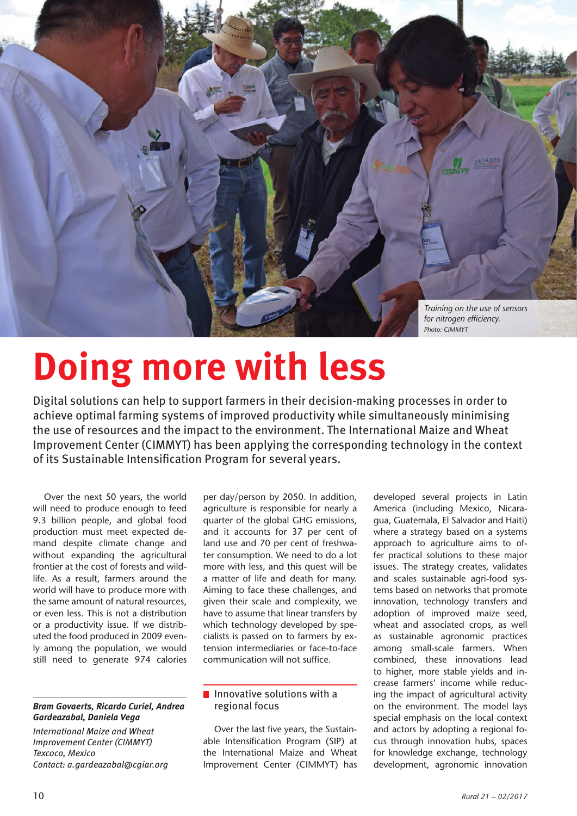

# **Doing more with less**

Digital solutions can help to support farmers in their decision-making processes in order to achieve optimal farming systems of improved productivity while simultaneously minimising the use of resources and the impact to the environment. The International Maize and Wheat Improvement Center (CIMMYT) has been applying the corresponding technology in the context of its Sustainable Intensification Program for several years.

Over the next 50 years, the world will need to produce enough to feed 9.3 billion people, and global food production must meet expected demand despite climate change and without expanding the agricultural frontier at the cost of forests and wildlife. As a result, farmers around the world will have to produce more with the same amount of natural resources, or even less. This is not a distribution or a productivity issue. If we distributed the food produced in 2009 evenly among the population, we would still need to generate 974 calories

## *Bram Govaerts, Ricardo Curiel, Andrea Gardeazabal, Daniela Vega*

*International Maize and Wheat Improvement Center (CIMMYT) Texcoco, Mexico Contact: a.gardeazabal@cgiar.org*

per day/person by 2050. In addition, agriculture is responsible for nearly a quarter of the global GHG emissions, and it accounts for 37 per cent of land use and 70 per cent of freshwater consumption. We need to do a lot more with less, and this quest will be a matter of life and death for many. Aiming to face these challenges, and given their scale and complexity, we have to assume that linear transfers by which technology developed by specialists is passed on to farmers by extension intermediaries or face-to-face communication will not suffice.

# $\blacksquare$  Innovative solutions with a regional focus

Over the last five years, the Sustainable Intensification Program (SIP) at the International Maize and Wheat Improvement Center (CIMMYT) has developed several projects in Latin America (including Mexico, Nicaragua, Guatemala, El Salvador and Haiti) where a strategy based on a systems approach to agriculture aims to offer practical solutions to these major issues. The strategy creates, validates and scales sustainable agri-food systems based on networks that promote innovation, technology transfers and adoption of improved maize seed, wheat and associated crops, as well as sustainable agronomic practices among small-scale farmers. When combined, these innovations lead to higher, more stable yields and increase farmers' income while reducing the impact of agricultural activity on the environment. The model lays special emphasis on the local context and actors by adopting a regional focus through innovation hubs, spaces for knowledge exchange, technology development, agronomic innovation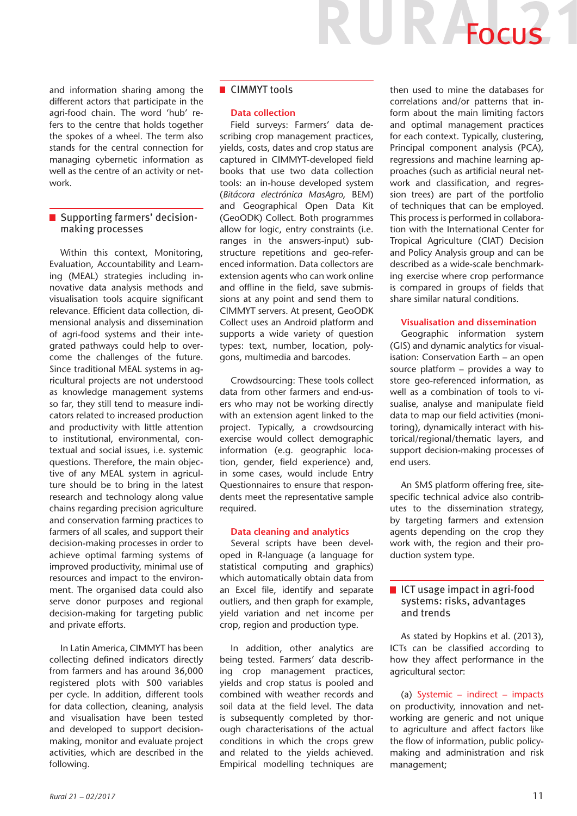and information sharing among the different actors that participate in the agri-food chain. The word 'hub' refers to the centre that holds together the spokes of a wheel. The term also stands for the central connection for managing cybernetic information as well as the centre of an activity or network.

# ■ Supporting farmers' decisionmaking processes

Within this context, Monitoring, Evaluation, Accountability and Learning (MEAL) strategies including innovative data analysis methods and visualisation tools acquire significant relevance. Efficient data collection, dimensional analysis and dissemination of agri-food systems and their integrated pathways could help to overcome the challenges of the future. Since traditional MEAL systems in agricultural projects are not understood as knowledge management systems so far, they still tend to measure indicators related to increased production and productivity with little attention to institutional, environmental, contextual and social issues, i.e. systemic questions. Therefore, the main objective of any MEAL system in agriculture should be to bring in the latest research and technology along value chains regarding precision agriculture and conservation farming practices to farmers of all scales, and support their decision-making processes in order to achieve optimal farming systems of improved productivity, minimal use of resources and impact to the environment. The organised data could also serve donor purposes and regional decision-making for targeting public and private efforts.

In Latin America, CIMMYT has been collecting defined indicators directly from farmers and has around 36,000 registered plots with 500 variables per cycle. In addition, different tools for data collection, cleaning, analysis and visualisation have been tested and developed to support decisionmaking, monitor and evaluate project activities, which are described in the following.

# ■ CIMMYT tools

#### **Data collection**

Field surveys: Farmers' data describing crop management practices, yields, costs, dates and crop status are captured in CIMMYT-developed field books that use two data collection tools: an in-house developed system (*Bitácora electrónica MasAgro*, BEM) and Geographical Open Data Kit (GeoODK) Collect. Both programmes allow for logic, entry constraints (i.e. ranges in the answers-input) substructure repetitions and geo-referenced information. Data collectors are extension agents who can work online and offline in the field, save submissions at any point and send them to CIMMYT servers. At present, GeoODK Collect uses an Android platform and supports a wide variety of question types: text, number, location, polygons, multimedia and barcodes.

Crowdsourcing: These tools collect data from other farmers and end-users who may not be working directly with an extension agent linked to the project. Typically, a crowdsourcing exercise would collect demographic information (e.g. geographic location, gender, field experience) and, in some cases, would include Entry Questionnaires to ensure that respondents meet the representative sample required.

#### **Data cleaning and analytics**

Several scripts have been developed in R-language (a language for statistical computing and graphics) which automatically obtain data from an Excel file, identify and separate outliers, and then graph for example, yield variation and net income per crop, region and production type.

In addition, other analytics are being tested. Farmers' data describing crop management practices, yields and crop status is pooled and combined with weather records and soil data at the field level. The data is subsequently completed by thorough characterisations of the actual conditions in which the crops grew and related to the yields achieved. Empirical modelling techniques are then used to mine the databases for correlations and/or patterns that inform about the main limiting factors and optimal management practices for each context. Typically, clustering, Principal component analysis (PCA), regressions and machine learning approaches (such as artificial neural network and classification, and regression trees) are part of the portfolio of techniques that can be employed. This process is performed in collaboration with the International Center for Tropical Agriculture (CIAT) Decision and Policy Analysis group and can be described as a wide-scale benchmarking exercise where crop performance is compared in groups of fields that share similar natural conditions.

JR Focus

#### **Visualisation and dissemination**

Geographic information system (GIS) and dynamic analytics for visualisation: Conservation Earth – an open source platform – provides a way to store geo-referenced information, as well as a combination of tools to visualise, analyse and manipulate field data to map our field activities (monitoring), dynamically interact with historical/regional/thematic layers, and support decision-making processes of end users.

An SMS platform offering free, sitespecific technical advice also contributes to the dissemination strategy, by targeting farmers and extension agents depending on the crop they work with, the region and their production system type.

## ■ ICT usage impact in agri-food systems: risks, advantages and trends

As stated by Hopkins et al. (2013), ICTs can be classified according to how they affect performance in the agricultural sector:

(a) Systemic – indirect – impacts on productivity, innovation and networking are generic and not unique to agriculture and affect factors like the flow of information, public policymaking and administration and risk management;